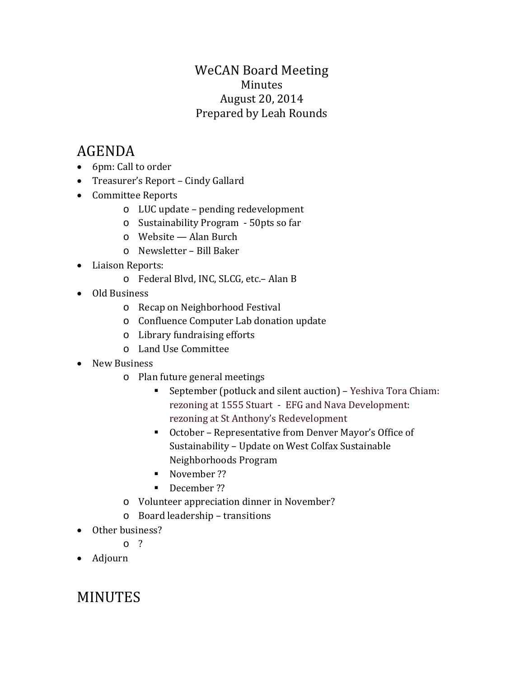### WeCAN Board Meeting Minutes August 20, 2014 Prepared by Leah Rounds

# AGENDA

- 6pm: Call to order
- Treasurer's Report Cindy Gallard
- Committee Reports
	- o LUC update pending redevelopment
	- o Sustainability Program 50pts so far
	- o Website Alan Burch
	- o Newsletter Bill Baker
- Liaison Reports:
	- o Federal Blvd, INC, SLCG, etc.– Alan B
- Old Business
	- o Recap on Neighborhood Festival
	- o Confluence Computer Lab donation update
	- o Library fundraising efforts
	- o Land Use Committee
- New Business
	- o Plan future general meetings
		- September (potluck and silent auction) Yeshiva Tora Chiam: rezoning at 1555 Stuart - EFG and Nava Development: rezoning at St Anthony's Redevelopment
		- October Representative from Denver Mayor's Office of Sustainability – Update on West Colfax Sustainable Neighborhoods Program
		- November ??
		- December ??
	- o Volunteer appreciation dinner in November?
	- o Board leadership transitions
- Other business?
	- $\sim$  2
- Adjourn

## MINUTES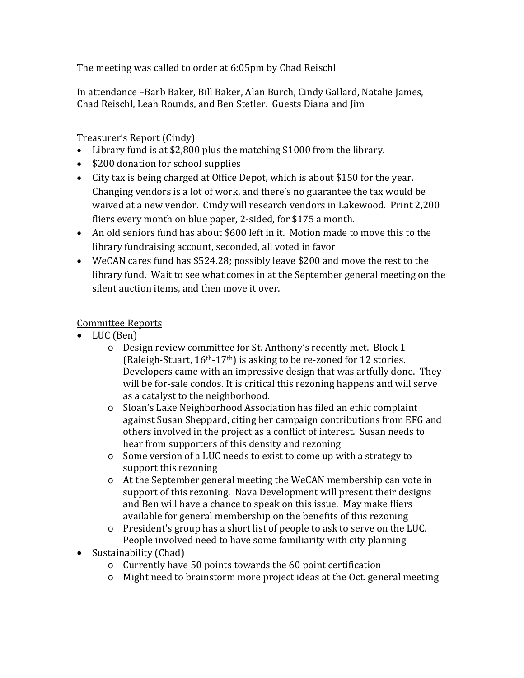The meeting was called to order at 6:05pm by Chad Reischl

In attendance –Barb Baker, Bill Baker, Alan Burch, Cindy Gallard, Natalie James, Chad Reischl, Leah Rounds, and Ben Stetler. Guests Diana and Jim

#### Treasurer's Report (Cindy)

- Library fund is at \$2,800 plus the matching \$1000 from the library.
- \$200 donation for school supplies
- City tax is being charged at Office Depot, which is about \$150 for the year. Changing vendors is a lot of work, and there's no guarantee the tax would be waived at a new vendor. Cindy will research vendors in Lakewood. Print 2,200 fliers every month on blue paper, 2-sided, for \$175 a month.
- An old seniors fund has about \$600 left in it. Motion made to move this to the library fundraising account, seconded, all voted in favor
- WeCAN cares fund has \$524.28; possibly leave \$200 and move the rest to the library fund. Wait to see what comes in at the September general meeting on the silent auction items, and then move it over.

#### Committee Reports

- LUC (Ben)
	- o Design review committee for St. Anthony's recently met. Block 1 (Raleigh-Stuart,  $16<sup>th</sup> - 17<sup>th</sup>$ ) is asking to be re-zoned for 12 stories. Developers came with an impressive design that was artfully done. They will be for-sale condos. It is critical this rezoning happens and will serve as a catalyst to the neighborhood.
	- o Sloan's Lake Neighborhood Association has filed an ethic complaint against Susan Sheppard, citing her campaign contributions from EFG and others involved in the project as a conflict of interest. Susan needs to hear from supporters of this density and rezoning
	- o Some version of a LUC needs to exist to come up with a strategy to support this rezoning
	- o At the September general meeting the WeCAN membership can vote in support of this rezoning. Nava Development will present their designs and Ben will have a chance to speak on this issue. May make fliers available for general membership on the benefits of this rezoning
	- o President's group has a short list of people to ask to serve on the LUC. People involved need to have some familiarity with city planning
- Sustainability (Chad)
	- o Currently have 50 points towards the 60 point certification
	- o Might need to brainstorm more project ideas at the Oct. general meeting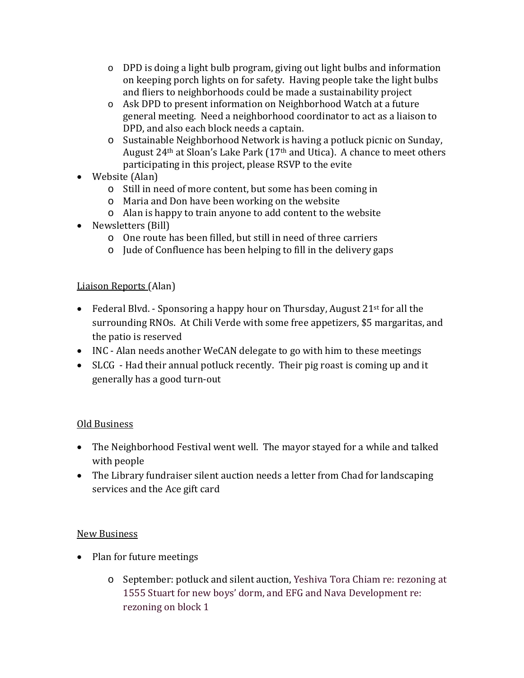- o DPD is doing a light bulb program, giving out light bulbs and information on keeping porch lights on for safety. Having people take the light bulbs and fliers to neighborhoods could be made a sustainability project
- o Ask DPD to present information on Neighborhood Watch at a future general meeting. Need a neighborhood coordinator to act as a liaison to DPD, and also each block needs a captain.
- o Sustainable Neighborhood Network is having a potluck picnic on Sunday, August 24th at Sloan's Lake Park (17th and Utica). A chance to meet others participating in this project, please RSVP to the evite
- Website (Alan)
	- o Still in need of more content, but some has been coming in
	- o Maria and Don have been working on the website
	- o Alan is happy to train anyone to add content to the website
- Newsletters (Bill)
	- o One route has been filled, but still in need of three carriers
	- o Jude of Confluence has been helping to fill in the delivery gaps

#### Liaison Reports (Alan)

- Federal Blyd. Sponsoring a happy hour on Thursday, August  $21^{st}$  for all the surrounding RNOs. At Chili Verde with some free appetizers, \$5 margaritas, and the patio is reserved
- INC Alan needs another WeCAN delegate to go with him to these meetings
- SLCG Had their annual potluck recently. Their pig roast is coming up and it generally has a good turn-out

#### Old Business

- The Neighborhood Festival went well. The mayor stayed for a while and talked with people
- The Library fundraiser silent auction needs a letter from Chad for landscaping services and the Ace gift card

#### New Business

- Plan for future meetings
	- o September: potluck and silent auction, Yeshiva Tora Chiam re: rezoning at 1555 Stuart for new boys' dorm, and EFG and Nava Development re: rezoning on block 1